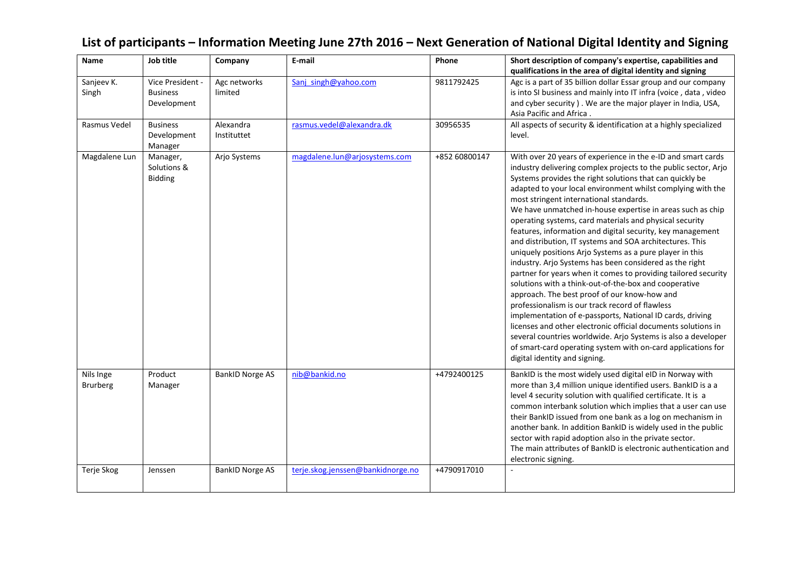| Name                         | Job title                                          | Company                  | E-mail                            | Phone         | Short description of company's expertise, capabilities and<br>qualifications in the area of digital identity and signing                                                                                                                                                                                                                                                                                                                                                                                                                                                                                                                                                                                                                                                                                                                                                                                                                                                                                                                                                                                                                                                                                      |
|------------------------------|----------------------------------------------------|--------------------------|-----------------------------------|---------------|---------------------------------------------------------------------------------------------------------------------------------------------------------------------------------------------------------------------------------------------------------------------------------------------------------------------------------------------------------------------------------------------------------------------------------------------------------------------------------------------------------------------------------------------------------------------------------------------------------------------------------------------------------------------------------------------------------------------------------------------------------------------------------------------------------------------------------------------------------------------------------------------------------------------------------------------------------------------------------------------------------------------------------------------------------------------------------------------------------------------------------------------------------------------------------------------------------------|
| Sanjeev K.<br>Singh          | Vice President -<br><b>Business</b><br>Development | Agc networks<br>limited  | Sanj singh@yahoo.com              | 9811792425    | Agc is a part of 35 billion dollar Essar group and our company<br>is into SI business and mainly into IT infra (voice, data, video<br>and cyber security ). We are the major player in India, USA,<br>Asia Pacific and Africa.                                                                                                                                                                                                                                                                                                                                                                                                                                                                                                                                                                                                                                                                                                                                                                                                                                                                                                                                                                                |
| Rasmus Vedel                 | <b>Business</b><br>Development<br>Manager          | Alexandra<br>Instituttet | rasmus.vedel@alexandra.dk         | 30956535      | All aspects of security & identification at a highly specialized<br>level.                                                                                                                                                                                                                                                                                                                                                                                                                                                                                                                                                                                                                                                                                                                                                                                                                                                                                                                                                                                                                                                                                                                                    |
| Magdalene Lun                | Manager,<br>Solutions &<br><b>Bidding</b>          | Arjo Systems             | magdalene.lun@arjosystems.com     | +852 60800147 | With over 20 years of experience in the e-ID and smart cards<br>industry delivering complex projects to the public sector, Arjo<br>Systems provides the right solutions that can quickly be<br>adapted to your local environment whilst complying with the<br>most stringent international standards.<br>We have unmatched in-house expertise in areas such as chip<br>operating systems, card materials and physical security<br>features, information and digital security, key management<br>and distribution, IT systems and SOA architectures. This<br>uniquely positions Arjo Systems as a pure player in this<br>industry. Arjo Systems has been considered as the right<br>partner for years when it comes to providing tailored security<br>solutions with a think-out-of-the-box and cooperative<br>approach. The best proof of our know-how and<br>professionalism is our track record of flawless<br>implementation of e-passports, National ID cards, driving<br>licenses and other electronic official documents solutions in<br>several countries worldwide. Arjo Systems is also a developer<br>of smart-card operating system with on-card applications for<br>digital identity and signing. |
| Nils Inge<br><b>Brurberg</b> | Product<br>Manager                                 | <b>BankID Norge AS</b>   | nib@bankid.no                     | +4792400125   | BankID is the most widely used digital eID in Norway with<br>more than 3,4 million unique identified users. BankID is a a<br>level 4 security solution with qualified certificate. It is a<br>common interbank solution which implies that a user can use<br>their BankID issued from one bank as a log on mechanism in<br>another bank. In addition BankID is widely used in the public<br>sector with rapid adoption also in the private sector.<br>The main attributes of BankID is electronic authentication and<br>electronic signing.                                                                                                                                                                                                                                                                                                                                                                                                                                                                                                                                                                                                                                                                   |
| Terje Skog                   | Jenssen                                            | <b>BankID Norge AS</b>   | terje.skog.jenssen@bankidnorge.no | +4790917010   |                                                                                                                                                                                                                                                                                                                                                                                                                                                                                                                                                                                                                                                                                                                                                                                                                                                                                                                                                                                                                                                                                                                                                                                                               |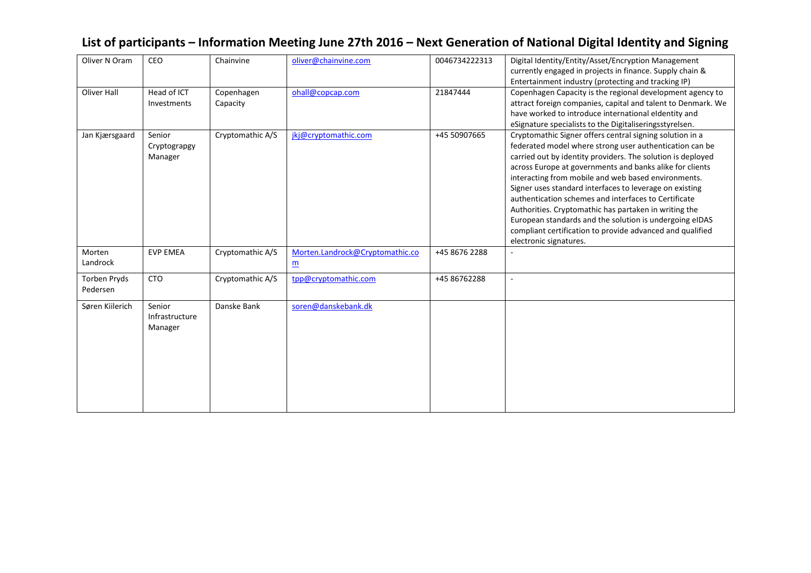| List of participants – Information Meeting June 27th 2016 – Next Generation of National Digital Identity and Signing |  |
|----------------------------------------------------------------------------------------------------------------------|--|
|----------------------------------------------------------------------------------------------------------------------|--|

| Oliver N Oram   | CEO             | Chainvine        | oliver@chainvine.com            | 0046734222313 | Digital Identity/Entity/Asset/Encryption Management          |
|-----------------|-----------------|------------------|---------------------------------|---------------|--------------------------------------------------------------|
|                 |                 |                  |                                 |               | currently engaged in projects in finance. Supply chain &     |
|                 |                 |                  |                                 |               | Entertainment industry (protecting and tracking IP)          |
| Oliver Hall     | Head of ICT     | Copenhagen       | ohall@copcap.com                | 21847444      | Copenhagen Capacity is the regional development agency to    |
|                 | Investments     | Capacity         |                                 |               | attract foreign companies, capital and talent to Denmark. We |
|                 |                 |                  |                                 |               | have worked to introduce international eldentity and         |
|                 |                 |                  |                                 |               | eSignature specialists to the Digitaliseringsstyrelsen.      |
| Jan Kjærsgaard  | Senior          | Cryptomathic A/S | jkj@cryptomathic.com            | +45 50907665  | Cryptomathic Signer offers central signing solution in a     |
|                 | Cryptograpgy    |                  |                                 |               | federated model where strong user authentication can be      |
|                 | Manager         |                  |                                 |               | carried out by identity providers. The solution is deployed  |
|                 |                 |                  |                                 |               | across Europe at governments and banks alike for clients     |
|                 |                 |                  |                                 |               | interacting from mobile and web based environments.          |
|                 |                 |                  |                                 |               | Signer uses standard interfaces to leverage on existing      |
|                 |                 |                  |                                 |               | authentication schemes and interfaces to Certificate         |
|                 |                 |                  |                                 |               | Authorities. Cryptomathic has partaken in writing the        |
|                 |                 |                  |                                 |               | European standards and the solution is undergoing eIDAS      |
|                 |                 |                  |                                 |               | compliant certification to provide advanced and qualified    |
|                 |                 |                  |                                 |               | electronic signatures.                                       |
| Morten          | <b>EVP EMEA</b> | Cryptomathic A/S | Morten.Landrock@Cryptomathic.co | +45 8676 2288 |                                                              |
| Landrock        |                 |                  | $\underline{m}$                 |               |                                                              |
| Torben Pryds    | <b>CTO</b>      | Cryptomathic A/S | tpp@cryptomathic.com            | +45 86762288  |                                                              |
| Pedersen        |                 |                  |                                 |               |                                                              |
|                 |                 |                  |                                 |               |                                                              |
| Søren Kiilerich | Senior          | Danske Bank      | soren@danskebank.dk             |               |                                                              |
|                 | Infrastructure  |                  |                                 |               |                                                              |
|                 | Manager         |                  |                                 |               |                                                              |
|                 |                 |                  |                                 |               |                                                              |
|                 |                 |                  |                                 |               |                                                              |
|                 |                 |                  |                                 |               |                                                              |
|                 |                 |                  |                                 |               |                                                              |
|                 |                 |                  |                                 |               |                                                              |
|                 |                 |                  |                                 |               |                                                              |
|                 |                 |                  |                                 |               |                                                              |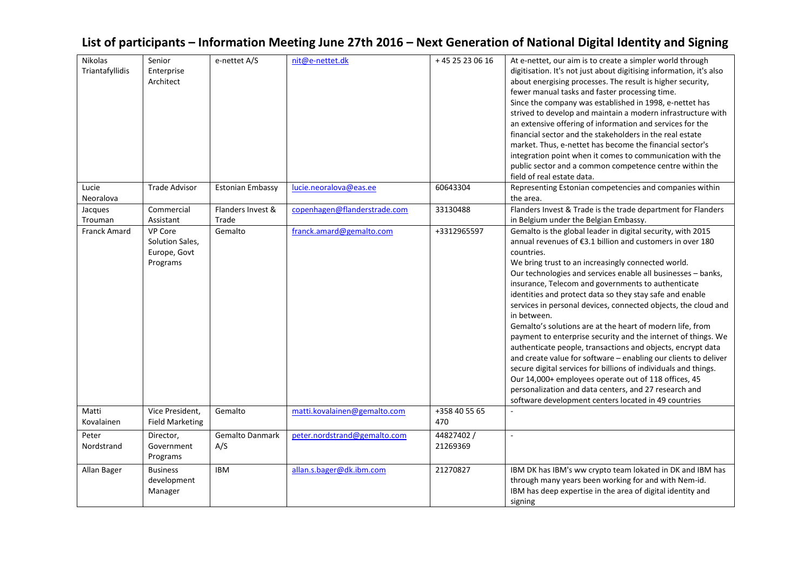| Nikolas<br>Triantafyllidis | Senior<br>Enterprise<br>Architect                             | e-nettet A/S                  | nit@e-nettet.dk              | +45 25 23 06 16        | At e-nettet, our aim is to create a simpler world through<br>digitisation. It's not just about digitising information, it's also<br>about energising processes. The result is higher security,<br>fewer manual tasks and faster processing time.<br>Since the company was established in 1998, e-nettet has<br>strived to develop and maintain a modern infrastructure with<br>an extensive offering of information and services for the<br>financial sector and the stakeholders in the real estate<br>market. Thus, e-nettet has become the financial sector's<br>integration point when it comes to communication with the<br>public sector and a common competence centre within the                                                                                                                                                                                                                                                                                    |
|----------------------------|---------------------------------------------------------------|-------------------------------|------------------------------|------------------------|-----------------------------------------------------------------------------------------------------------------------------------------------------------------------------------------------------------------------------------------------------------------------------------------------------------------------------------------------------------------------------------------------------------------------------------------------------------------------------------------------------------------------------------------------------------------------------------------------------------------------------------------------------------------------------------------------------------------------------------------------------------------------------------------------------------------------------------------------------------------------------------------------------------------------------------------------------------------------------|
| Lucie<br>Neoralova         | <b>Trade Advisor</b>                                          | <b>Estonian Embassy</b>       | lucie.neoralova@eas.ee       | 60643304               | field of real estate data.<br>Representing Estonian competencies and companies within<br>the area.                                                                                                                                                                                                                                                                                                                                                                                                                                                                                                                                                                                                                                                                                                                                                                                                                                                                          |
| Jacques<br>Trouman         | Commercial<br>Assistant                                       | Flanders Invest &<br>Trade    | copenhagen@flanderstrade.com | 33130488               | Flanders Invest & Trade is the trade department for Flanders<br>in Belgium under the Belgian Embassy.                                                                                                                                                                                                                                                                                                                                                                                                                                                                                                                                                                                                                                                                                                                                                                                                                                                                       |
| <b>Franck Amard</b>        | <b>VP Core</b><br>Solution Sales,<br>Europe, Govt<br>Programs | Gemalto                       | franck.amard@gemalto.com     | +3312965597            | Gemalto is the global leader in digital security, with 2015<br>annual revenues of €3.1 billion and customers in over 180<br>countries.<br>We bring trust to an increasingly connected world.<br>Our technologies and services enable all businesses - banks,<br>insurance, Telecom and governments to authenticate<br>identities and protect data so they stay safe and enable<br>services in personal devices, connected objects, the cloud and<br>in between.<br>Gemalto's solutions are at the heart of modern life, from<br>payment to enterprise security and the internet of things. We<br>authenticate people, transactions and objects, encrypt data<br>and create value for software - enabling our clients to deliver<br>secure digital services for billions of individuals and things.<br>Our 14,000+ employees operate out of 118 offices, 45<br>personalization and data centers, and 27 research and<br>software development centers located in 49 countries |
| Matti<br>Kovalainen        | Vice President,<br><b>Field Marketing</b>                     | Gemalto                       | matti.kovalainen@gemalto.com | +358 40 55 65<br>470   |                                                                                                                                                                                                                                                                                                                                                                                                                                                                                                                                                                                                                                                                                                                                                                                                                                                                                                                                                                             |
| Peter<br>Nordstrand        | Director,<br>Government<br>Programs                           | <b>Gemalto Danmark</b><br>A/S | peter.nordstrand@gemalto.com | 44827402 /<br>21269369 | $\mathbf{r}$                                                                                                                                                                                                                                                                                                                                                                                                                                                                                                                                                                                                                                                                                                                                                                                                                                                                                                                                                                |
| Allan Bager                | <b>Business</b><br>development<br>Manager                     | <b>IBM</b>                    | allan.s.bager@dk.ibm.com     | 21270827               | IBM DK has IBM's ww crypto team lokated in DK and IBM has<br>through many years been working for and with Nem-id.<br>IBM has deep expertise in the area of digital identity and<br>signing                                                                                                                                                                                                                                                                                                                                                                                                                                                                                                                                                                                                                                                                                                                                                                                  |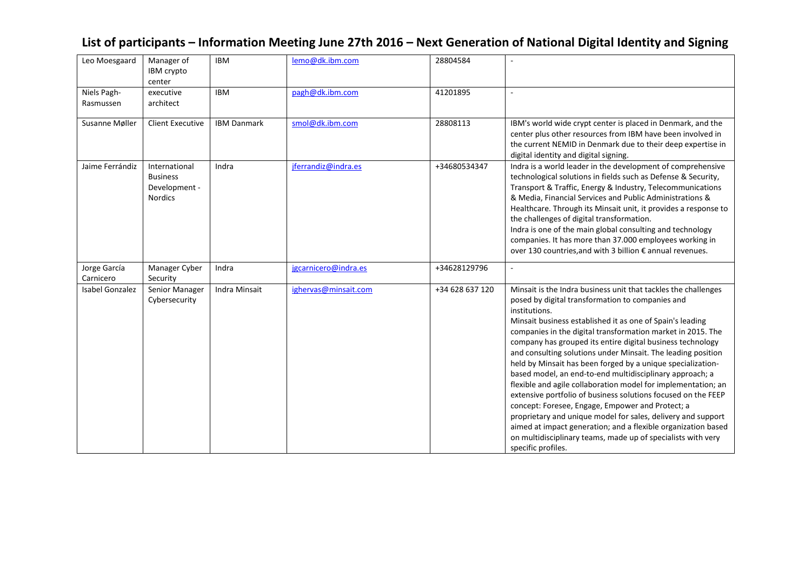| List of participants – Information Meeting June 27th 2016 – Next Generation of National Digital Identity and Signing |  |  |
|----------------------------------------------------------------------------------------------------------------------|--|--|
|                                                                                                                      |  |  |

| Leo Moesgaard             | Manager of<br>IBM crypto<br>center                                  | <b>IBM</b>           | lemo@dk.ibm.com      | 28804584        |                                                                                                                                                                                                                                                                                                                                                                                                                                                                                                                                                                                                                                                                                                                                                                                                                                                                                                                                       |
|---------------------------|---------------------------------------------------------------------|----------------------|----------------------|-----------------|---------------------------------------------------------------------------------------------------------------------------------------------------------------------------------------------------------------------------------------------------------------------------------------------------------------------------------------------------------------------------------------------------------------------------------------------------------------------------------------------------------------------------------------------------------------------------------------------------------------------------------------------------------------------------------------------------------------------------------------------------------------------------------------------------------------------------------------------------------------------------------------------------------------------------------------|
| Niels Pagh-<br>Rasmussen  | executive<br>architect                                              | <b>IBM</b>           | pagh@dk.ibm.com      | 41201895        |                                                                                                                                                                                                                                                                                                                                                                                                                                                                                                                                                                                                                                                                                                                                                                                                                                                                                                                                       |
| Susanne Møller            | <b>Client Executive</b>                                             | <b>IBM Danmark</b>   | smol@dk.ibm.com      | 28808113        | IBM's world wide crypt center is placed in Denmark, and the<br>center plus other resources from IBM have been involved in<br>the current NEMID in Denmark due to their deep expertise in<br>digital identity and digital signing.                                                                                                                                                                                                                                                                                                                                                                                                                                                                                                                                                                                                                                                                                                     |
| Jaime Ferrándiz           | International<br><b>Business</b><br>Development -<br><b>Nordics</b> | Indra                | jferrandiz@indra.es  | +34680534347    | Indra is a world leader in the development of comprehensive<br>technological solutions in fields such as Defense & Security,<br>Transport & Traffic, Energy & Industry, Telecommunications<br>& Media, Financial Services and Public Administrations &<br>Healthcare. Through its Minsait unit, it provides a response to<br>the challenges of digital transformation.<br>Indra is one of the main global consulting and technology<br>companies. It has more than 37.000 employees working in<br>over 130 countries, and with 3 billion € annual revenues.                                                                                                                                                                                                                                                                                                                                                                           |
| Jorge García<br>Carnicero | Manager Cyber<br>Security                                           | Indra                | jgcarnicero@indra.es | +34628129796    |                                                                                                                                                                                                                                                                                                                                                                                                                                                                                                                                                                                                                                                                                                                                                                                                                                                                                                                                       |
| <b>Isabel Gonzalez</b>    | Senior Manager<br>Cybersecurity                                     | <b>Indra Minsait</b> | ighervas@minsait.com | +34 628 637 120 | Minsait is the Indra business unit that tackles the challenges<br>posed by digital transformation to companies and<br>institutions.<br>Minsait business established it as one of Spain's leading<br>companies in the digital transformation market in 2015. The<br>company has grouped its entire digital business technology<br>and consulting solutions under Minsait. The leading position<br>held by Minsait has been forged by a unique specialization-<br>based model, an end-to-end multidisciplinary approach; a<br>flexible and agile collaboration model for implementation; an<br>extensive portfolio of business solutions focused on the FEEP<br>concept: Foresee, Engage, Empower and Protect; a<br>proprietary and unique model for sales, delivery and support<br>aimed at impact generation; and a flexible organization based<br>on multidisciplinary teams, made up of specialists with very<br>specific profiles. |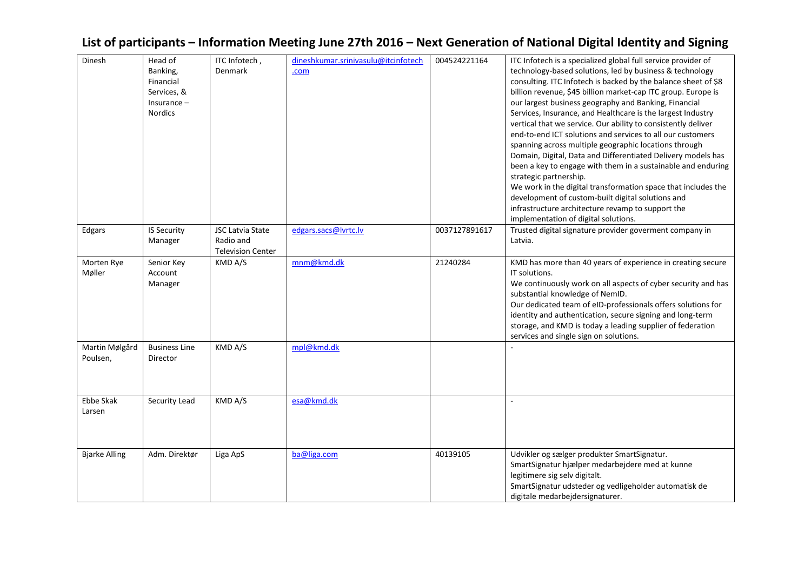### Dinesh Head of Banking, Financial Services, & Insurance – Nordics ITC Infotech , Denmark [dineshkumar.srinivasulu@itcinfotech](mailto:dineshkumar.srinivasulu@itcinfotech.com) [.com](mailto:dineshkumar.srinivasulu@itcinfotech.com) 004524221164 ITC Infotech is a specialized global full service provider of technology-based solutions, led by business & technology consulting. ITC Infotech is backed by the balance sheet of \$8 billion revenue, \$45 billion market-cap ITC group. Europe is our largest business geography and Banking, Financial Services, Insurance, and Healthcare is the largest Industry vertical that we service. Our ability to consistently deliver end-to-end ICT solutions and services to all our customers spanning across multiple geographic locations through Domain, Digital, Data and Differentiated Delivery models has been a key to engage with them in a sustainable and enduring strategic partnership. We work in the digital transformation space that includes the development of custom-built digital solutions and infrastructure architecture revamp to support the implementation of digital solutions. Edgars | IS Security Manager JSC Latvia State Radio and Television Center [edgars.sacs@lvrtc.lv](mailto:edgars.sacs@lvrtc.lv) | 0037127891617 | Trusted digital signature provider goverment company in Latvia. Morten Rye Møller Senior Key Account Manager KMD A/S [mnm@kmd.dk](mailto:mnm@kmd.dk) 21240284 KMD has more than 40 years of experience in creating secure IT solutions. We continuously work on all aspects of cyber security and has substantial knowledge of NemID. Our dedicated team of eID-professionals offers solutions for identity and authentication, secure signing and long-term storage, and KMD is today a leading supplier of federation services and single sign on solutions. Martin Mølgård Poulsen, Business Line Director  $KMD A/S$  mpl $@kmd.dk$ Ebbe Skak Larsen Security Lead KMD A/S [esa@kmd.dk](mailto:esa@kmd.dk) Bjarke Alling | Adm. Direktør | Liga ApS | [ba@liga.com](mailto:ba@liga.com) | 40139105 | Udvikler og sælger produkter SmartSignatur. SmartSignatur hjælper medarbejdere med at kunne legitimere sig selv digitalt. SmartSignatur udsteder og vedligeholder automatisk de digitale medarbejdersignaturer.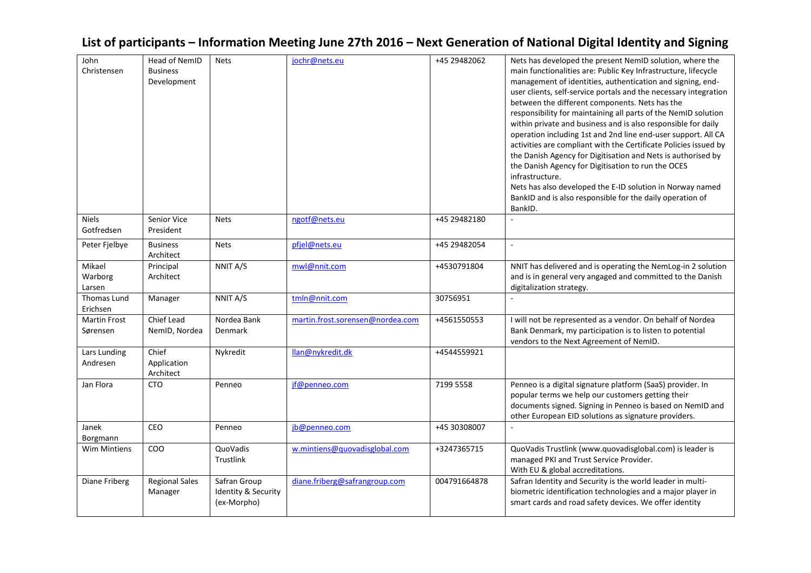| John                | Head of NemID           | <b>Nets</b>                        | jochr@nets.eu                    | +45 29482062 | Nets has developed the present NemID solution, where the                                                                        |
|---------------------|-------------------------|------------------------------------|----------------------------------|--------------|---------------------------------------------------------------------------------------------------------------------------------|
| Christensen         | <b>Business</b>         |                                    |                                  |              | main functionalities are: Public Key Infrastructure, lifecycle                                                                  |
|                     | Development             |                                    |                                  |              | management of identities, authentication and signing, end-                                                                      |
|                     |                         |                                    |                                  |              | user clients, self-service portals and the necessary integration                                                                |
|                     |                         |                                    |                                  |              | between the different components. Nets has the                                                                                  |
|                     |                         |                                    |                                  |              | responsibility for maintaining all parts of the NemID solution<br>within private and business and is also responsible for daily |
|                     |                         |                                    |                                  |              | operation including 1st and 2nd line end-user support. All CA                                                                   |
|                     |                         |                                    |                                  |              | activities are compliant with the Certificate Policies issued by                                                                |
|                     |                         |                                    |                                  |              | the Danish Agency for Digitisation and Nets is authorised by                                                                    |
|                     |                         |                                    |                                  |              | the Danish Agency for Digitisation to run the OCES                                                                              |
|                     |                         |                                    |                                  |              | infrastructure.                                                                                                                 |
|                     |                         |                                    |                                  |              | Nets has also developed the E-ID solution in Norway named                                                                       |
|                     |                         |                                    |                                  |              | BankID and is also responsible for the daily operation of                                                                       |
|                     |                         |                                    |                                  |              | BankID.                                                                                                                         |
| <b>Niels</b>        | Senior Vice             | <b>Nets</b>                        | ngotf@nets.eu                    | +45 29482180 |                                                                                                                                 |
| Gotfredsen          | President               |                                    |                                  |              |                                                                                                                                 |
| Peter Fjelbye       | <b>Business</b>         | <b>Nets</b>                        | pfjel@nets.eu                    | +45 29482054 |                                                                                                                                 |
|                     | Architect               |                                    |                                  |              |                                                                                                                                 |
| Mikael<br>Warborg   | Principal<br>Architect  | NNIT A/S                           | mwl@nnit.com                     | +4530791804  | NNIT has delivered and is operating the NemLog-in 2 solution<br>and is in general very angaged and committed to the Danish      |
| Larsen              |                         |                                    |                                  |              | digitalization strategy.                                                                                                        |
| Thomas Lund         | Manager                 | NNIT A/S                           | tmln@nnit.com                    | 30756951     |                                                                                                                                 |
| Erichsen            |                         |                                    |                                  |              |                                                                                                                                 |
| <b>Martin Frost</b> | Chief Lead              | Nordea Bank                        | martin.frost.sorensen@nordea.com | +4561550553  | I will not be represented as a vendor. On behalf of Nordea                                                                      |
| Sørensen            | NemID, Nordea           | Denmark                            |                                  |              | Bank Denmark, my participation is to listen to potential                                                                        |
|                     |                         |                                    |                                  |              | vendors to the Next Agreement of NemID.                                                                                         |
| Lars Lunding        | Chief                   | Nykredit                           | llan@nykredit.dk                 | +4544559921  |                                                                                                                                 |
| Andresen            | Application             |                                    |                                  |              |                                                                                                                                 |
| Jan Flora           | Architect<br><b>CTO</b> | Penneo                             | jf@penneo.com                    | 7199 5558    | Penneo is a digital signature platform (SaaS) provider. In                                                                      |
|                     |                         |                                    |                                  |              | popular terms we help our customers getting their                                                                               |
|                     |                         |                                    |                                  |              | documents signed. Signing in Penneo is based on NemID and                                                                       |
|                     |                         |                                    |                                  |              | other European EID solutions as signature providers.                                                                            |
| Janek               | <b>CEO</b>              | Penneo                             | jb@penneo.com                    | +45 30308007 |                                                                                                                                 |
| Borgmann            |                         |                                    |                                  |              |                                                                                                                                 |
| <b>Wim Mintiens</b> | COO                     | QuoVadis                           | w.mintiens@quovadisglobal.com    | +3247365715  | QuoVadis Trustlink (www.quovadisglobal.com) is leader is                                                                        |
|                     |                         | Trustlink                          |                                  |              | managed PKI and Trust Service Provider.                                                                                         |
|                     |                         |                                    |                                  |              | With EU & global accreditations.                                                                                                |
| Diane Friberg       | <b>Regional Sales</b>   | Safran Group                       | diane.friberg@safrangroup.com    | 004791664878 | Safran Identity and Security is the world leader in multi-                                                                      |
|                     | Manager                 | Identity & Security<br>(ex-Morpho) |                                  |              | biometric identification technologies and a major player in<br>smart cards and road safety devices. We offer identity           |
|                     |                         |                                    |                                  |              |                                                                                                                                 |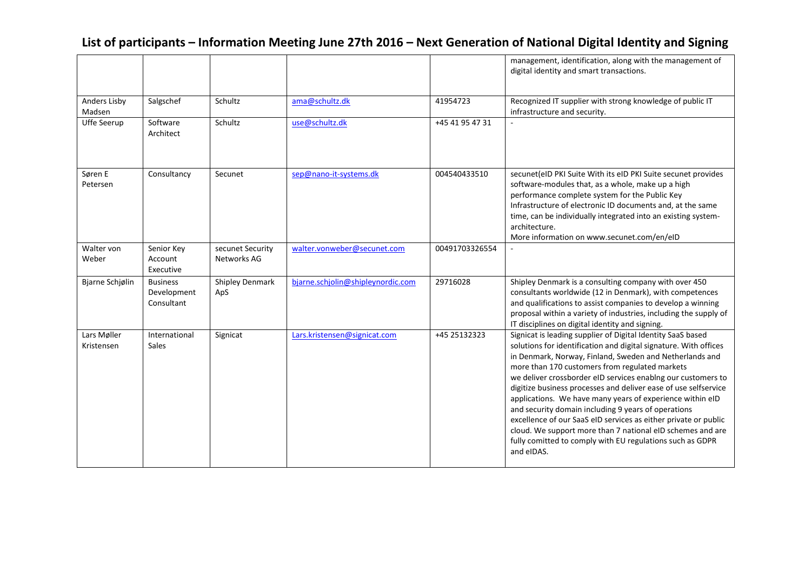|                           |                                              |                                 |                                   |                 | management, identification, along with the management of<br>digital identity and smart transactions.                                                                                                                                                                                                                                                                                                                                                                                                                                                                                                                                                                                                            |
|---------------------------|----------------------------------------------|---------------------------------|-----------------------------------|-----------------|-----------------------------------------------------------------------------------------------------------------------------------------------------------------------------------------------------------------------------------------------------------------------------------------------------------------------------------------------------------------------------------------------------------------------------------------------------------------------------------------------------------------------------------------------------------------------------------------------------------------------------------------------------------------------------------------------------------------|
| Anders Lisby<br>Madsen    | Salgschef                                    | Schultz                         | ama@schultz.dk                    | 41954723        | Recognized IT supplier with strong knowledge of public IT<br>infrastructure and security.                                                                                                                                                                                                                                                                                                                                                                                                                                                                                                                                                                                                                       |
| Uffe Seerup               | Software<br>Architect                        | Schultz                         | use@schultz.dk                    | +45 41 95 47 31 |                                                                                                                                                                                                                                                                                                                                                                                                                                                                                                                                                                                                                                                                                                                 |
| Søren E<br>Petersen       | Consultancy                                  | Secunet                         | sep@nano-it-systems.dk            | 004540433510    | secunet(eID PKI Suite With its eID PKI Suite secunet provides<br>software-modules that, as a whole, make up a high<br>performance complete system for the Public Key<br>Infrastructure of electronic ID documents and, at the same<br>time, can be individually integrated into an existing system-<br>architecture.<br>More information on www.secunet.com/en/eID                                                                                                                                                                                                                                                                                                                                              |
| Walter von<br>Weber       | Senior Key<br>Account<br>Executive           | secunet Security<br>Networks AG | walter.vonweber@secunet.com       | 00491703326554  |                                                                                                                                                                                                                                                                                                                                                                                                                                                                                                                                                                                                                                                                                                                 |
| Bjarne Schjølin           | <b>Business</b><br>Development<br>Consultant | <b>Shipley Denmark</b><br>ApS   | bjarne.schjolin@shipleynordic.com | 29716028        | Shipley Denmark is a consulting company with over 450<br>consultants worldwide (12 in Denmark), with competences<br>and qualifications to assist companies to develop a winning<br>proposal within a variety of industries, including the supply of<br>IT disciplines on digital identity and signing.                                                                                                                                                                                                                                                                                                                                                                                                          |
| Lars Møller<br>Kristensen | International<br><b>Sales</b>                | Signicat                        | Lars.kristensen@signicat.com      | +45 25132323    | Signicat is leading supplier of Digital Identity SaaS based<br>solutions for identification and digital signature. With offices<br>in Denmark, Norway, Finland, Sweden and Netherlands and<br>more than 170 customers from regulated markets<br>we deliver crossborder eID services enablng our customers to<br>digitize business processes and deliver ease of use selfservice<br>applications. We have many years of experience within eID<br>and security domain including 9 years of operations<br>excellence of our SaaS eID services as either private or public<br>cloud. We support more than 7 national eID schemes and are<br>fully comitted to comply with EU regulations such as GDPR<br>and eIDAS. |